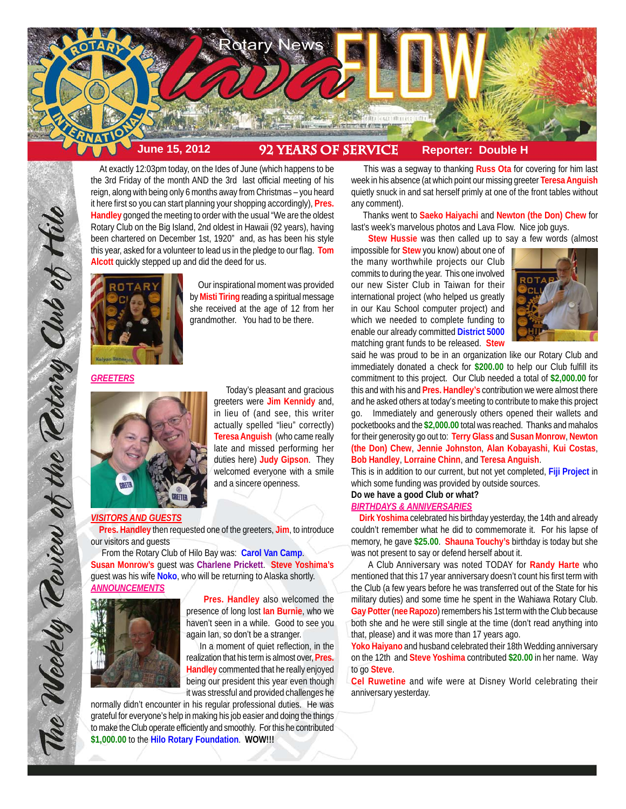

 At exactly 12:03pm today, on the Ides of June (which happens to be the 3rd Friday of the month AND the 3rd last official meeting of his reign, along with being only 6 months away from Christmas – you heard it here first so you can start planning your shopping accordingly), **Pres. Handley** gonged the meeting to order with the usual "We are the oldest Rotary Club on the Big Island, 2nd oldest in Hawaii (92 years), having been chartered on December 1st, 1920" and, as has been his style this year, asked for a volunteer to lead us in the pledge to our flag. **Tom Alcott** quickly stepped up and did the deed for us.



 Our inspirational moment was provided by **Misti Tiring** reading a spiritual message she received at the age of 12 from her grandmother. You had to be there.

*GREETERS*

The Weekly Teview of the Tetary Club of Hilo



 Today's pleasant and gracious greeters were **Jim Kennidy** and, in lieu of (and see, this writer actually spelled "lieu" correctly) **Teresa Anguish** (who came really late and missed performing her duties here) **Judy Gipson**. They welcomed everyone with a smile and a sincere openness.

#### *VISITORS AND GUESTS*

 **Pres. Handley** then requested one of the greeters, **Jim**, to introduce our visitors and guests

 From the Rotary Club of Hilo Bay was: **Carol Van Camp**. **Susan Monrow's** guest was **Charlene Prickett**. **Steve Yoshima's** guest was his wife **Noko**, who will be returning to Alaska shortly. *ANNOUNCEMENTS*



 **Pres. Handley** also welcomed the presence of long lost **Ian Burnie**, who we haven't seen in a while. Good to see you again Ian, so don't be a stranger.

 In a moment of quiet reflection, in the realization that his term is almost over, **Pres. Handley** commented that he really enjoyed being our president this year even though it was stressful and provided challenges he

normally didn't encounter in his regular professional duties. He was grateful for everyone's help in making his job easier and doing the things to make the Club operate efficiently and smoothly. For this he contributed **\$1,000.00** to the **Hilo Rotary Foundation**. **WOW!!!**

 This was a segway to thanking **Russ Ota** for covering for him last week in his absence (at which point our missing greeter **Teresa Anguish** quietly snuck in and sat herself primly at one of the front tables without any comment).

 Thanks went to **Saeko Haiyachi** and **Newton (the Don) Chew** for last's week's marvelous photos and Lava Flow. Nice job guys.

**Stew Hussie** was then called up to say a few words (almost

impossible for **Stew** you know) about one of the many worthwhile projects our Club commits to during the year. This one involved our new Sister Club in Taiwan for their international project (who helped us greatly in our Kau School computer project) and which we needed to complete funding to enable our already committed **District 5000** matching grant funds to be released. **Stew**



said he was proud to be in an organization like our Rotary Club and immediately donated a check for **\$200.00** to help our Club fulfill its commitment to this project. Our Club needed a total of **\$2,000.00** for this and with his and **Pres. Handley's** contribution we were almost there and he asked others at today's meeting to contribute to make this project go. Immediately and generously others opened their wallets and pocketbooks and the **\$2,000.00** total was reached. Thanks and mahalos for their generosity go out to: **Terry Glass** and **Susan Monrow**, **Newton (the Don) Chew**, **Jennie Johnston**, **Alan Kobayashi**, **Kui Costas**, **Bob Handley**, **Lorraine Chinn**, and **Teresa Anguish**.

This is in addition to our current, but not yet completed, **Fiji Project** in which some funding was provided by outside sources.

# **Do we have a good Club or what?**

### *BIRTHDAYS & ANNIVERSARIES*

 **Dirk Yoshima** celebrated his birthday yesterday, the 14th and already couldn't remember what he did to commemorate it. For his lapse of memory, he gave **\$25.00**. **Shauna Touchy's** birthday is today but she was not present to say or defend herself about it.

 A Club Anniversary was noted TODAY for **Randy Harte** who mentioned that this 17 year anniversary doesn't count his first term with the Club (a few years before he was transferred out of the State for his military duties) and some time he spent in the Wahiawa Rotary Club. **Gay Potter** (**nee Rapozo**) remembers his 1st term with the Club because both she and he were still single at the time (don't read anything into that, please) and it was more than 17 years ago.

**Yoko Haiyano** and husband celebrated their 18th Wedding anniversary on the 12th and **Steve Yoshima** contributed **\$20.00** in her name. Way to go **Steve**.

**Cel Ruwetine** and wife were at Disney World celebrating their anniversary yesterday.